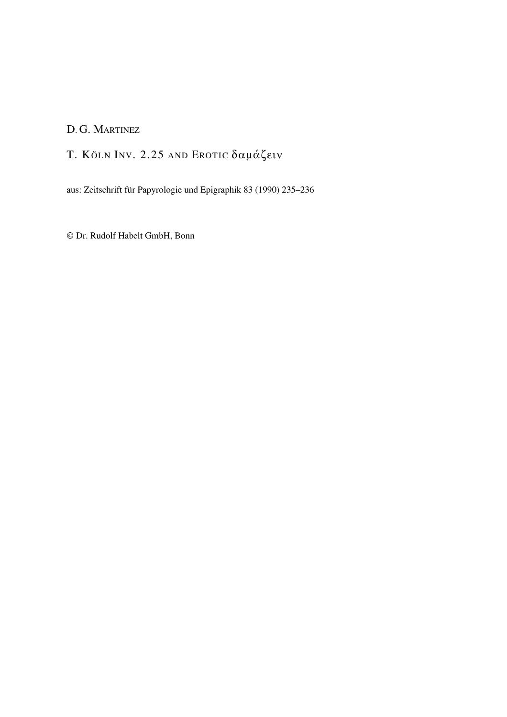## D. G. MARTINEZ

T. KÖLN INV. 2.25 AND EROTIC δαμάζειν

aus: Zeitschrift für Papyrologie und Epigraphik 83 (1990) 235–236

© Dr. Rudolf Habelt GmbH, Bonn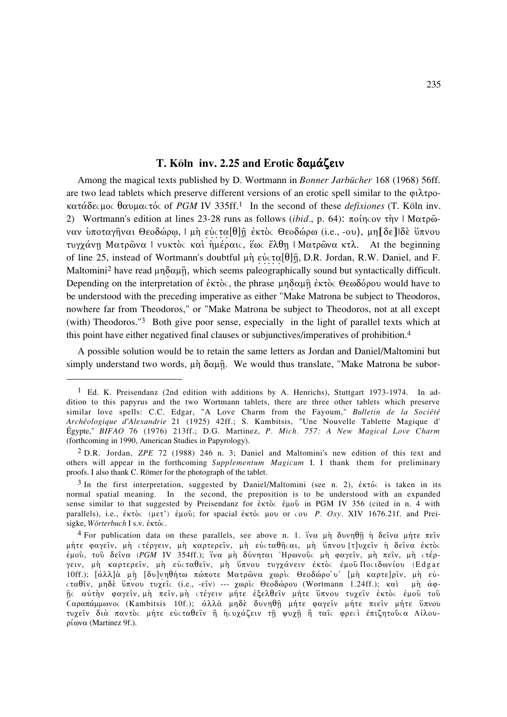## T. Köln inv. 2.25 and Erotic δαμάζειν

Among the magical texts published by D. Wortmann in Bonner Jarbücher 168 (1968) 56ff. are two lead tablets which preserve different versions of an erotic spell similar to the  $\varphi\lambda\tau\varphi$ κατάδες μος θαυμας τός of PGM IV 335ff.<sup>1</sup> In the second of these *defixiones* (T. Köln inv. 2) Wortmann's edition at lines 23-28 runs as follows (ibid., p. 64): ποίης ον την | Ματρῶναν υποταγήναι Θεοδώρω, | μη εύστα[θ]η έκτος Θεοδώρω (i.e., -ου), μη [δε] Ιδε ύπνου τυγχάνη Ματρώνα Ι νυκτός και ημέραις, έως έλθη | Ματρώνα κτλ. At the beginning of line 25, instead of Wortmann's doubtful  $\mu \dot{\eta}$  εύστα[ $\theta$ ] $\hat{\eta}$ , D.R. Jordan, R.W. Daniel, and F. Maltomini<sup>2</sup> have read  $\mu \eta \delta \alpha \mu \hat{\eta}$ , which seems paleographically sound but syntactically difficult. Depending on the interpretation of  $\epsilon \kappa \tau$  oc, the phrase  $\mu \eta \delta \alpha \mu \hat{\eta} \epsilon \kappa \tau$  oc  $\theta \epsilon \omega \delta \varphi$  would have to be understood with the preceding imperative as either "Make Matrona be subject to Theodoros, nowhere far from Theodoros," or "Make Matrona be subject to Theodoros, not at all except (with) Theodoros."<sup>3</sup> Both give poor sense, especially in the light of parallel texts which at this point have either negatived final clauses or subjunctives/imperatives of prohibition.<sup>4</sup>

A possible solution would be to retain the same letters as Jordan and Daniel/Maltomini but simply understand two words,  $\mu \dot{\eta}$   $\delta \alpha \mu \dot{\eta}$ . We would thus translate, "Make Matrona be subor-

<sup>&</sup>lt;sup>1</sup> Ed. K. Preisendanz (2nd edition with additions by A. Henrichs), Stuttgart 1973-1974. In addition to this papyrus and the two Wortmann tablets, there are three other tablets which preserve similar love spells: C.C. Edgar, "A Love Charm from the Fayoum," Bulletin de la Société Archéologique d'Alexandrie 21 (1925) 42ff.; S. Kambitsis, "Une Nouvelle Tablette Magique d' Égypte," BIFAO 76 (1976) 213ff.; D.G. Martinez, P. Mich. 757: A New Magical Love Charm (forthcoming in 1990, American Studies in Papyrology).

<sup>&</sup>lt;sup>2</sup> D.R. Jordan, *ZPE* 72 (1988) 246 n. 3; Daniel and Maltomini's new edition of this text and others will appear in the forthcoming Supplementum Magicum I. I thank them for preliminary proofs. I also thank C. Römer for the photograph of the tablet.

<sup>&</sup>lt;sup>3</sup> In the first interpretation, suggested by Daniel/Maltomini (see n. 2),  $\epsilon \kappa \tau \phi c$  is taken in its normal spatial meaning. In the second, the preposition is to be understood with an expanded sense similar to that suggested by Preisendanz for  $\epsilon \kappa \tau$  in PGM IV 356 (cited in n. 4 with parallels), i.e.,  $\dot{\epsilon}$ κτός (μετ') έμου; for spacial έκτός μου or  $\zeta$  and Providels 21. Provident Preisigke, Wörterbuch I s.v. έκτός.

<sup>&</sup>lt;sup>4</sup> For publication data on these parallels, see above n. 1. ἵνα μη δυνηθη η δείνα μήτε πείν μήτε φαγείν, μη στέργειν, μη καρτερείν, μη εύσταθήσαι, μη ύπνου [τ]υχείν η δείνα έκτοσ έμου, του δείνα (PGM IV 354ff.); ίνα μη δύνηται Ηρωνούς μη φαγείν, μη πείν, μη στέργειν, μή καρτερείν, μή εύσταθείν, μή ύπνου τυγχάνειν έκτος έμού Ποσιδωνίου (Edgar 10ff.); [άλλ]α μη [δυ]νηθήτω πώποτε Ματρώνα χωρις Θεοδώρο υ' [μη καρτε]ρίν, μη εύσταθίν, μηδέ ύπνου τυχείς (i.e., -είν) --- χωρίς Θεοδώρου (Wortmann 1.24ff.); και μη άφής αύτήν φαγείν, μή πείν, μή στέγειν μήτε έξελθείν μήτε ύπνου τυχείν έκτος έμού τού Cαραπάμμωνος (Kambitsis 10f.); αλλά μηδέ δυνηθή μήτε φαγείν μήτε πιείν μήτε ύπνου τυχείν διά παντός μήτε εύςταθείν ή ήςυχάζειν τη ψυχη ή ταίς φρεςί έπιζητούςα Αίλου $ρ$ ίωνα (Martinez 9f.).